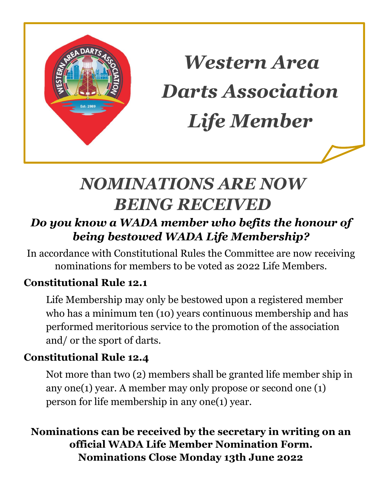

*Western Area Darts Association Life Member*

## *NOMINATIONS ARE NOW BEING RECEIVED*

## *Do you know a WADA member who befits the honour of being bestowed WADA Life Membership?*

In accordance with Constitutional Rules the Committee are now receiving nominations for members to be voted as 2022 Life Members.

## **Constitutional Rule 12.1**

Life Membership may only be bestowed upon a registered member who has a minimum ten (10) years continuous membership and has performed meritorious service to the promotion of the association and/ or the sport of darts.

## **Constitutional Rule 12.4**

Not more than two (2) members shall be granted life member ship in any one(1) year. A member may only propose or second one (1) person for life membership in any one(1) year.

**Nominations can be received by the secretary in writing on an official WADA Life Member Nomination Form. Nominations Close Monday 13th June 2022**